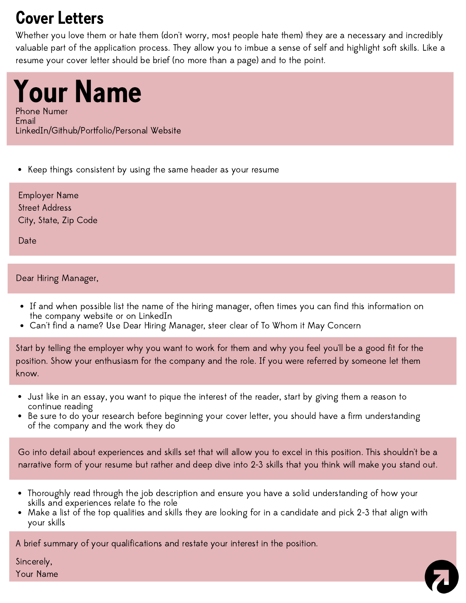## Cover Letters

Whether you love them or hate them (don't worry, most people hate them) they are a necessary and incredibly valuable part of the application process. They allow you to imbue a sense of self and highlight soft skills. Like a resume your cover letter should be brief (no more than a page) and to the point.

Your Name Phone Numer Email LinkedIn/Github/Portfolio/Personal Website

• Keep things consistent by using the same header as your resume

Employer Name Street Address City, State, Zip Code

Date

#### Dear Hiring Manager,

- If and when possible list the name of the hiring manager, often times you can find this information on the company website or on LinkedIn
- Can't find a name? Use Dear Hiring Manager, steer clear of To Whom it May Concern

Start by telling the employer why you want to work for them and why you feel you'll be a good fit for the position. Show your enthusiasm for the company and the role. If you were referred by someone let them know.

- Just like in an essay, you want to pique the interest of the reader, start by giving them a reason to continue reading
- Be sure to do your research before beginning your cover letter, you should have a firm understanding of the company and the work they do

Go into detail about experiences and skills set that will allow you to excel in this position. This shouldn't be a narrative form of your resume but rather and deep dive into 2-3 skills that you think will make you stand out.

- Thoroughly read through the job description and ensure you have a solid understanding of how your skills and experiences relate to the role
- Make a list of the top qualities and skills they are looking for in a candidate and pick 2-3 that align with your skills

A brief summary of your qualifications and restate your interest in the position.

Sincerely, Your Name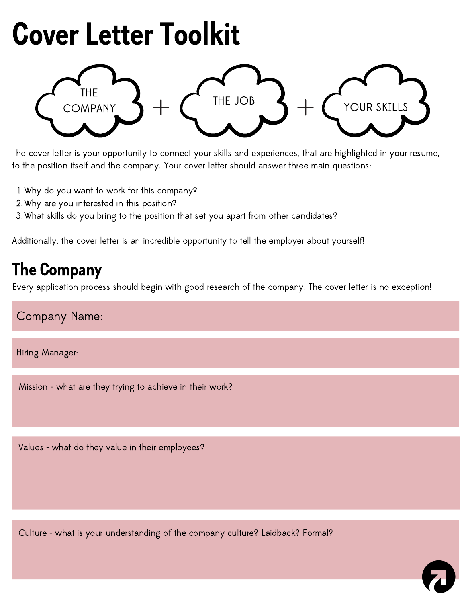# Cover Letter Toolkit



The cover letter is your opportunity to connect your skills and experiences, that are highlighted in your resume, to the position itself and the company. Your cover letter should answer three main questions:

- Why do you want to work for this company? 1.
- Why are you interested in this position? 2.
- What skills do you bring to the position that set you apart from other candidates? 3.

Additionally, the cover letter is an incredible opportunity to tell the employer about yourself!

### The Company

Every application process should begin with good research of the company. The cover letter is no exception!

#### Company Name:

Hiring Manager:

Mission - what are they trying to achieve in their work?

Values - what do they value in their employees?

Culture - what is your understanding of the company culture? Laidback? Formal?